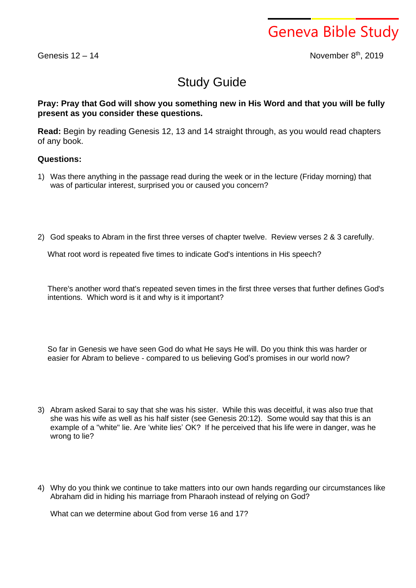Geneva Bible Study

Genesis  $12 - 14$ 

th , 2019

## Study Guide

## **Pray: Pray that God will show you something new in His Word and that you will be fully present as you consider these questions.**

**Read:** Begin by reading Genesis 12, 13 and 14 straight through, as you would read chapters of any book.

## **Questions:**

- 1) Was there anything in the passage read during the week or in the lecture (Friday morning) that was of particular interest, surprised you or caused you concern?
- 2) God speaks to Abram in the first three verses of chapter twelve. Review verses 2 & 3 carefully.

What root word is repeated five times to indicate God's intentions in His speech?

There's another word that's repeated seven times in the first three verses that further defines God's intentions. Which word is it and why is it important?

So far in Genesis we have seen God do what He says He will. Do you think this was harder or easier for Abram to believe - compared to us believing God's promises in our world now?

- 3) Abram asked Sarai to say that she was his sister. While this was deceitful, it was also true that she was his wife as well as his half sister (see Genesis 20:12). Some would say that this is an example of a "white" lie. Are 'white lies' OK? If he perceived that his life were in danger, was he wrong to lie?
- 4) Why do you think we continue to take matters into our own hands regarding our circumstances like Abraham did in hiding his marriage from Pharaoh instead of relying on God?

What can we determine about God from verse 16 and 17?